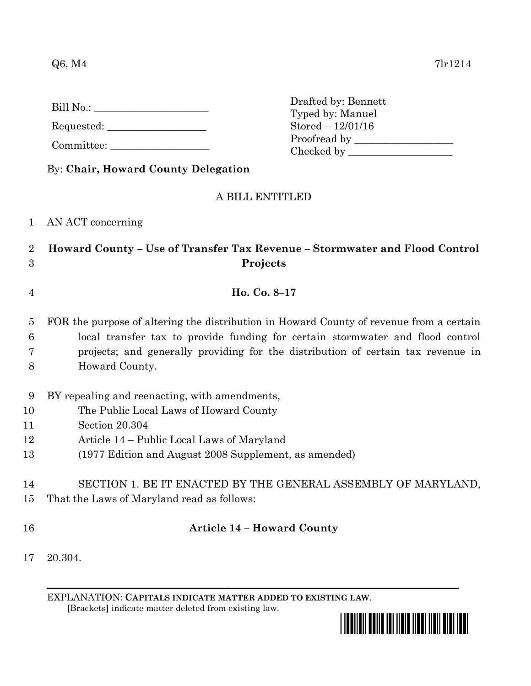$Q6, M4$  7lr1214

Requested: \_\_\_\_\_\_\_\_\_\_\_\_\_\_\_\_\_\_\_

Committee:

By: **Chair, Howard County Delegation**

## A BILL ENTITLED

1 AN ACT concerning

## 2 **Howard County – Use of Transfer Tax Revenue – Stormwater and Flood Control**  3 **Projects**

- 4 **Ho. Co. 8–17**
- 5 FOR the purpose of altering the distribution in Howard County of revenue from a certain 6 local transfer tax to provide funding for certain stormwater and flood control 7 projects; and generally providing for the distribution of certain tax revenue in 8 Howard County.
- 9 BY repealing and reenacting, with amendments,
- 10 The Public Local Laws of Howard County
- 11 Section 20.304
- 12 Article 14 Public Local Laws of Maryland
- 13 (1977 Edition and August 2008 Supplement, as amended)
- 14 SECTION 1. BE IT ENACTED BY THE GENERAL ASSEMBLY OF MARYLAND,
- 15 That the Laws of Maryland read as follows:
- 

## 16 **Article 14 – Howard County**

17 20.304.

EXPLANATION: **CAPITALS INDICATE MATTER ADDED TO EXISTING LAW**.  **[**Brackets**]** indicate matter deleted from existing law.



Drafted by: Bennett Typed by: Manuel Stored – 12/01/16 Proofread by \_\_\_\_\_\_\_\_\_\_\_\_\_\_\_\_\_\_\_ Checked by \_\_\_\_\_\_\_\_\_\_\_\_\_\_\_\_\_\_\_\_